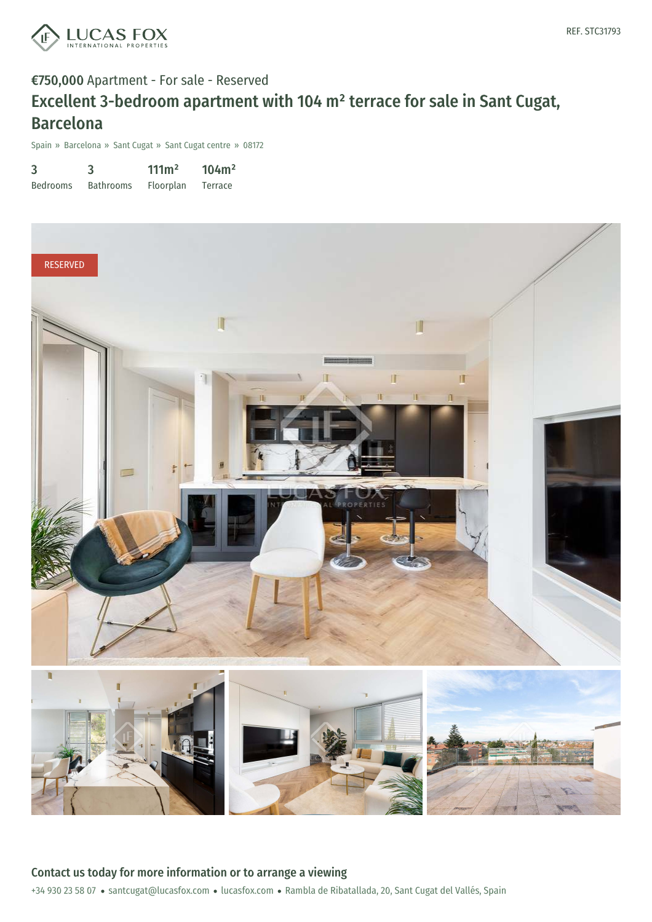

### €750,000 Apartment - For sale - Reserved

# Excellent 3-bedroom apartment with 104 m² terrace for sale in Sant Cugat, Barcelona

Spain » Barcelona » Sant Cugat » Sant Cugat centre » 08172

| 3               |                  | $111 \text{m}^2$ | 104m <sup>2</sup> |
|-----------------|------------------|------------------|-------------------|
| <b>Bedrooms</b> | <b>Bathrooms</b> | Floorplan        | Terrace           |

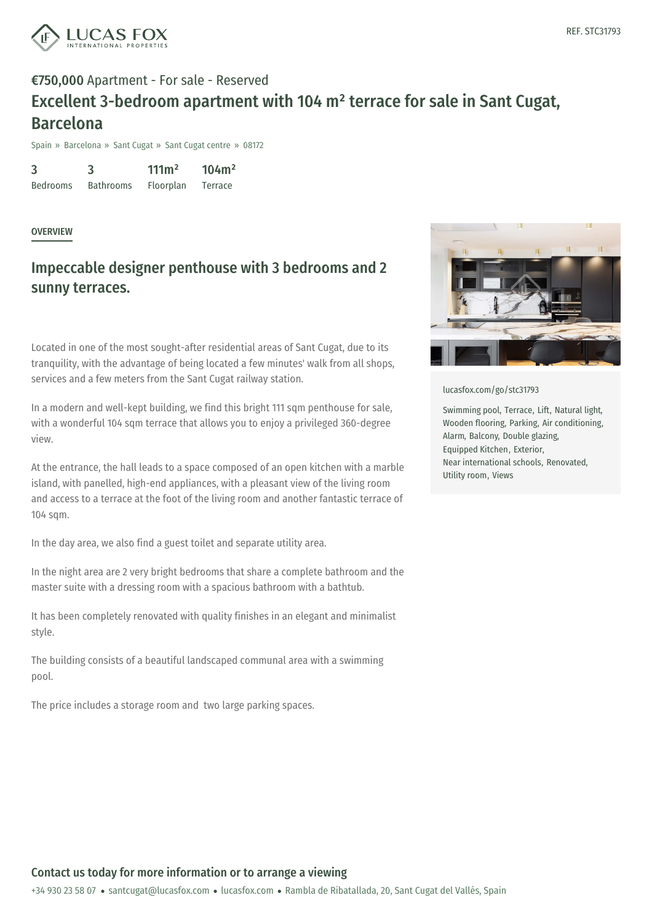

## €750,000 Apartment - For sale - Reserved Excellent 3-bedroom apartment with 104 m² terrace for sale in Sant Cugat, Barcelona

Spain » Barcelona » Sant Cugat » Sant Cugat centre » 08172

3 Bedrooms 3 Bathrooms  $111m<sup>2</sup>$ Floorplan 104m² Terrace

#### **OVERVIEW**

### Impeccable designer penthouse with 3 bedrooms and 2 sunny terraces.

Located in one of the most sought-after residential areas of Sant Cugat, due to its tranquility, with the advantage of being located a few minutes' walk from all shops, services and a few meters from the Sant Cugat railway station.

In a modern and well-kept building, we find this bright 111 sqm penthouse for sale, with a wonderful 104 sqm terrace that allows you to enjoy a privileged 360-degree view.

At the entrance, the hall leads to a space composed of an open kitchen with a marble island, with panelled, high-end appliances, with a pleasant view of the living room and access to a terrace at the foot of the living room and another fantastic terrace of 104 sqm.

In the day area, we also find a guest toilet and separate utility area.

In the night area are 2 very bright bedrooms that share a complete bathroom and the master suite with a dressing room with a spacious bathroom with a bathtub.

It has been completely renovated with quality finishes in an elegant and minimalist style.

The building consists of a [beautiful](mailto:santcugat@lucasfox.com) landscaped [commun](https://www.lucasfox.com)al area with a swimming pool.

The price includes a storage room and two large parking spaces.



[lucasfox.com/go/stc31793](https://www.lucasfox.com/go/stc31793)

Swimming pool, Terrace, Lift, Natural light, Wooden flooring, Parking, Air conditioning, Alarm, Balcony, Double glazing, Equipped Kitchen, Exterior, Near international schools, Renovated, Utility room, Views